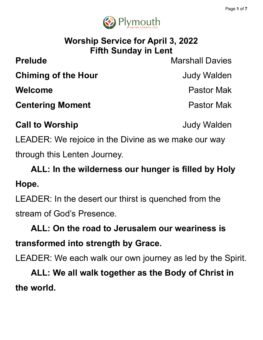

## **Worship Service for April 3, 2022 Fifth Sunday in Lent**

**Prelude** Marshall Davies

**Chiming of the Hour Chiming of the Hour** 

**Welcome** Pastor Mak

**Centering Moment Centering Moment** 

**Call to Worship Call to Worship Judy Walden** 

LEADER: We rejoice in the Divine as we make our way through this Lenten Journey.

**ALL: In the wilderness our hunger is filled by Holy Hope.**

LEADER: In the desert our thirst is quenched from the stream of God's Presence.

## **ALL: On the road to Jerusalem our weariness is transformed into strength by Grace.**

LEADER: We each walk our own journey as led by the Spirit.

**ALL: We all walk together as the Body of Christ in the world.**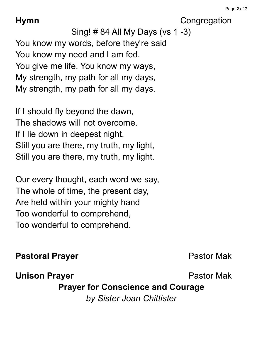**Hymn** Congregation

Sing! # 84 All My Days (vs 1 -3) You know my words, before they're said You know my need and I am fed. You give me life. You know my ways, My strength, my path for all my days, My strength, my path for all my days.

If I should fly beyond the dawn, The shadows will not overcome. If I lie down in deepest night, Still you are there, my truth, my light, Still you are there, my truth, my light.

Our every thought, each word we say, The whole of time, the present day, Are held within your mighty hand Too wonderful to comprehend, Too wonderful to comprehend.

### **Pastoral Prayer Pastor Mak**

**Unison Prayer Pastor Mak** 

**Prayer for Conscience and Courage**

*by Sister Joan Chittister*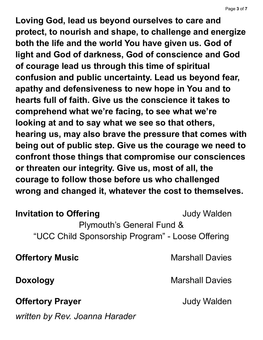**Loving God, lead us beyond ourselves to care and protect, to nourish and shape, to challenge and energize both the life and the world You have given us. God of light and God of darkness, God of conscience and God of courage lead us through this time of spiritual confusion and public uncertainty. Lead us beyond fear, apathy and defensiveness to new hope in You and to hearts full of faith. Give us the conscience it takes to comprehend what we're facing, to see what we're looking at and to say what we see so that others, hearing us, may also brave the pressure that comes with being out of public step. Give us the courage we need to confront those things that compromise our consciences or threaten our integrity. Give us, most of all, the courage to follow those before us who challenged wrong and changed it, whatever the cost to themselves.**

**Invitation to Offering The Contract Contract Service State State State State State State State State State State State State State State State State State State State State State State State State State State State Stat** 

Plymouth's General Fund & "UCC Child Sponsorship Program" - Loose Offering

**Offertory Music Marshall Davies** 

**Doxology** Marshall Davies

**Offertory Prayer Contract Contract Contract Contract Contract Contract Contract Contract Contract Contract Contract Contract Contract Contract Contract Contract Contract Contract Contract Contract Contract Contract Cont** 

*written by Rev. Joanna Harader*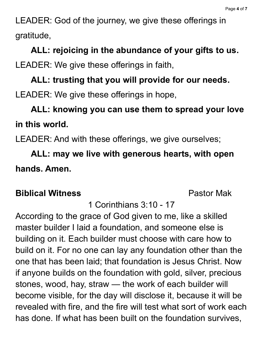LEADER: God of the journey, we give these offerings in gratitude,

**ALL: rejoicing in the abundance of your gifts to us.** LEADER: We give these offerings in faith,

# **ALL: trusting that you will provide for our needs.** LEADER: We give these offerings in hope,

## **ALL: knowing you can use them to spread your love in this world.**

LEADER: And with these offerings, we give ourselves;

**ALL: may we live with generous hearts, with open hands. Amen.**

#### **Biblical Witness** Pastor Mak

1 Corinthians 3:10 - 17

According to the grace of God given to me, like a skilled master builder I laid a foundation, and someone else is building on it. Each builder must choose with care how to build on it. For no one can lay any foundation other than the one that has been laid; that foundation is Jesus Christ. Now if anyone builds on the foundation with gold, silver, precious stones, wood, hay, straw — the work of each builder will become visible, for the day will disclose it, because it will be revealed with fire, and the fire will test what sort of work each has done. If what has been built on the foundation survives,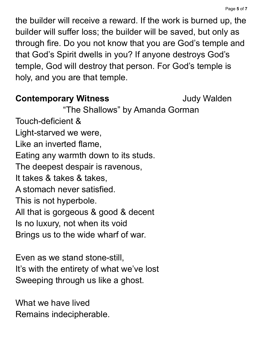the builder will receive a reward. If the work is burned up, the builder will suffer loss; the builder will be saved, but only as through fire. Do you not know that you are God's temple and that God's Spirit dwells in you? If anyone destroys God's temple, God will destroy that person. For God's temple is holy, and you are that temple.

### **Contemporary Witness Judy Walden**

"The Shallows" by Amanda Gorman

Touch-deficient & Light-starved we were, Like an inverted flame, Eating any warmth down to its studs. The deepest despair is ravenous, It takes & takes & takes, A stomach never satisfied. This is not hyperbole. All that is gorgeous & good & decent Is no luxury, not when its void Brings us to the wide wharf of war.

Even as we stand stone-still, It's with the entirety of what we've lost Sweeping through us like a ghost.

What we have lived Remains indecipherable.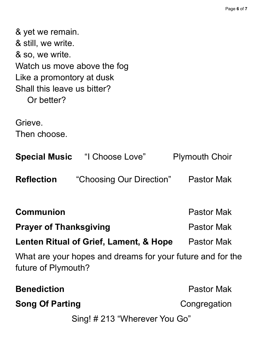| & yet we remain.<br>& still, we write.<br>& so, we write.<br>Watch us move above the fog<br>Like a promontory at dusk<br>Shall this leave us bitter?<br>Or better? |                                                            |                       |
|--------------------------------------------------------------------------------------------------------------------------------------------------------------------|------------------------------------------------------------|-----------------------|
| Grieve.                                                                                                                                                            |                                                            |                       |
| Then choose.                                                                                                                                                       |                                                            |                       |
|                                                                                                                                                                    | <b>Special Music "I Choose Love"</b>                       | <b>Plymouth Choir</b> |
| <b>Reflection</b>                                                                                                                                                  | "Choosing Our Direction"                                   | <b>Pastor Mak</b>     |
| Communion                                                                                                                                                          |                                                            | <b>Pastor Mak</b>     |
| <b>Prayer of Thanksgiving</b>                                                                                                                                      |                                                            | <b>Pastor Mak</b>     |
| Lenten Ritual of Grief, Lament, & Hope                                                                                                                             |                                                            | <b>Pastor Mak</b>     |
| future of Plymouth?                                                                                                                                                | What are your hopes and dreams for your future and for the |                       |
| <b>Benediction</b>                                                                                                                                                 |                                                            | <b>Pastor Mak</b>     |
| <b>Song Of Parting</b>                                                                                                                                             |                                                            | Congregation          |
| Sing! # 213 "Wherever You Go"                                                                                                                                      |                                                            |                       |